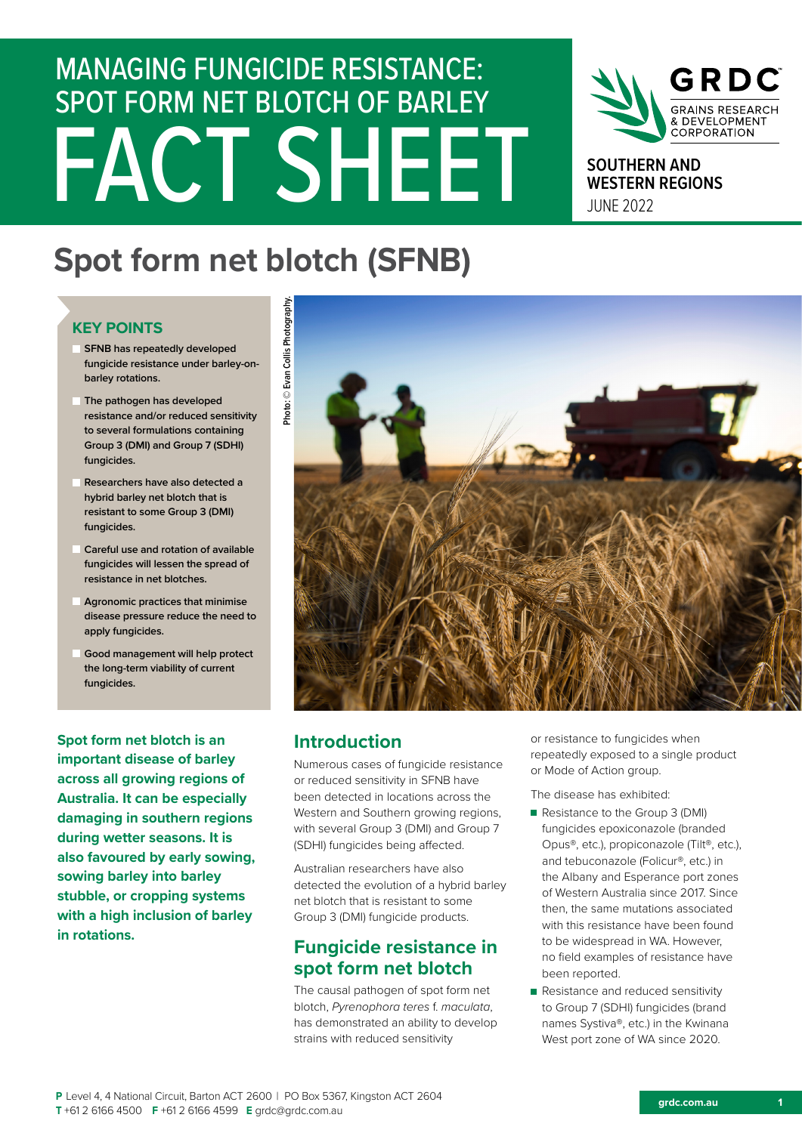# FACT SHEET MANAGING FUNGICIDE RESISTANCE: SPOT FORM NET BLOTCH OF BARLEY



**SOUTHERN AND WESTERN REGIONS** JUNE 2022

## **Spot form net blotch (SFNB)**

## **KEY POINTS**

- **SFNB** has repeatedly developed **fungicide resistance under barley-onbarley rotations.**
- **The pathogen has developed resistance and/or reduced sensitivity to several formulations containing Group 3 (DMI) and Group 7 (SDHI) fungicides.**
- **Researchers have also detected a hybrid barley net blotch that is resistant to some Group 3 (DMI) fungicides.**
- **Careful use and rotation of available fungicides will lessen the spread of resistance in net blotches.**
- **Agronomic practices that minimise disease pressure reduce the need to apply fungicides.**
- **Good management will help protect the long-term viability of current fungicides.**

**Spot form net blotch is an important disease of barley across all growing regions of Australia. It can be especially damaging in southern regions during wetter seasons. It is also favoured by early sowing, sowing barley into barley stubble, or cropping systems with a high inclusion of barley in rotations.** 



## **Introduction**

Numerous cases of fungicide resistance or reduced sensitivity in SFNB have been detected in locations across the Western and Southern growing regions, with several Group 3 (DMI) and Group 7 (SDHI) fungicides being affected.

Australian researchers have also detected the evolution of a hybrid barley net blotch that is resistant to some Group 3 (DMI) fungicide products.

## **Fungicide resistance in spot form net blotch**

The causal pathogen of spot form net blotch, *Pyrenophora teres* f. *maculata*, has demonstrated an ability to develop strains with reduced sensitivity

or resistance to fungicides when repeatedly exposed to a single product or Mode of Action group.

The disease has exhibited:

- Resistance to the Group 3 (DMI) fungicides epoxiconazole (branded Opus®, etc.), propiconazole (Tilt®, etc.), and tebuconazole (Folicur®, etc.) in the Albany and Esperance port zones of Western Australia since 2017. Since then, the same mutations associated with this resistance have been found to be widespread in WA. However, no field examples of resistance have been reported.
- Resistance and reduced sensitivity to Group 7 (SDHI) fungicides (brand names Systiva®, etc.) in the Kwinana West port zone of WA since 2020.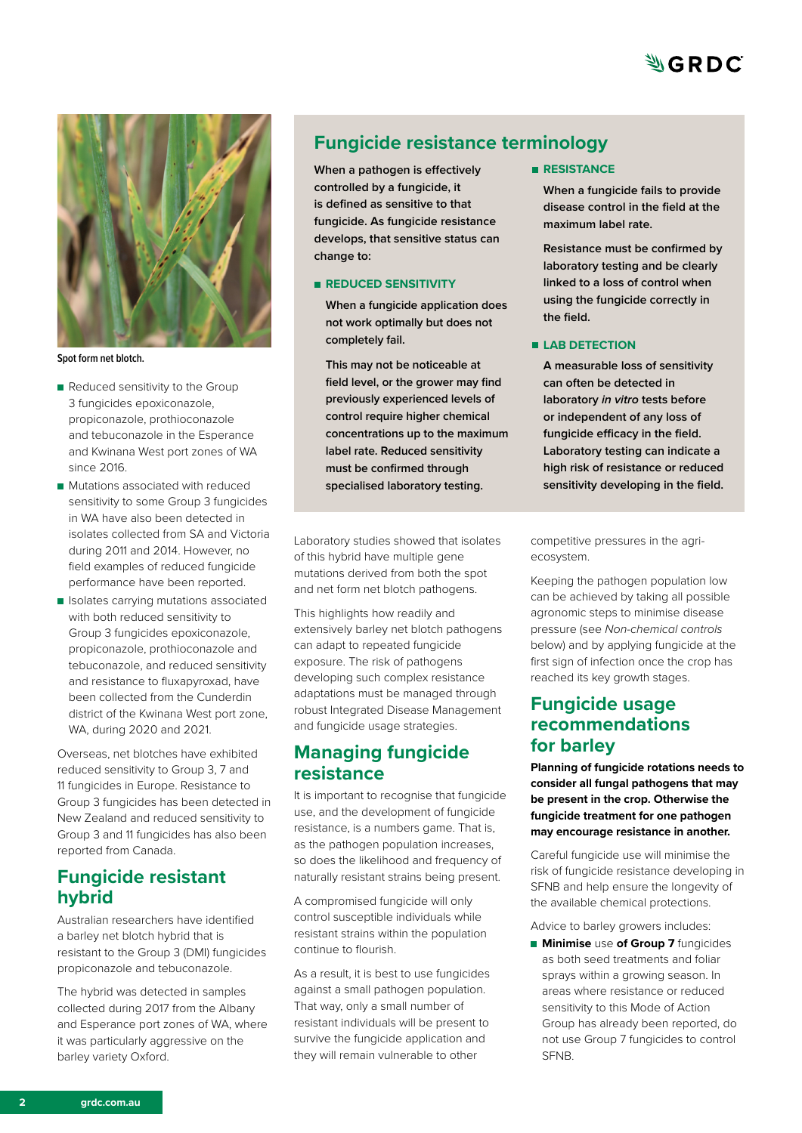



**Spot form net blotch.**

- Reduced sensitivity to the Group 3 fungicides epoxiconazole, propiconazole, prothioconazole and tebuconazole in the Esperance and Kwinana West port zones of WA since 2016.
- **Mutations associated with reduced** sensitivity to some Group 3 fungicides in WA have also been detected in isolates collected from SA and Victoria during 2011 and 2014. However, no field examples of reduced fungicide performance have been reported.
- I Isolates carrying mutations associated with both reduced sensitivity to Group 3 fungicides epoxiconazole, propiconazole, prothioconazole and tebuconazole, and reduced sensitivity and resistance to fluxapyroxad, have been collected from the Cunderdin district of the Kwinana West port zone, WA, during 2020 and 2021.

Overseas, net blotches have exhibited reduced sensitivity to Group 3, 7 and 11 fungicides in Europe. Resistance to Group 3 fungicides has been detected in New Zealand and reduced sensitivity to Group 3 and 11 fungicides has also been reported from Canada.

## **Fungicide resistant hybrid**

Australian researchers have identified a barley net blotch hybrid that is resistant to the Group 3 (DMI) fungicides propiconazole and tebuconazole.

The hybrid was detected in samples collected during 2017 from the Albany and Esperance port zones of WA, where it was particularly aggressive on the barley variety Oxford.

## **Fungicide resistance terminology**

**When a pathogen is effectively controlled by a fungicide, it is defined as sensitive to that fungicide. As fungicide resistance develops, that sensitive status can change to:**

#### **REDUCED SENSITIVITY**

**When a fungicide application does not work optimally but does not completely fail.** 

**This may not be noticeable at field level, or the grower may find previously experienced levels of control require higher chemical concentrations up to the maximum label rate. Reduced sensitivity must be confirmed through specialised laboratory testing.**

Laboratory studies showed that isolates of this hybrid have multiple gene mutations derived from both the spot and net form net blotch pathogens.

This highlights how readily and extensively barley net blotch pathogens can adapt to repeated fungicide exposure. The risk of pathogens developing such complex resistance adaptations must be managed through robust Integrated Disease Management and fungicide usage strategies.

## **Managing fungicide resistance**

It is important to recognise that fungicide use, and the development of fungicide resistance, is a numbers game. That is, as the pathogen population increases, so does the likelihood and frequency of naturally resistant strains being present.

A compromised fungicide will only control susceptible individuals while resistant strains within the population continue to flourish.

As a result, it is best to use fungicides against a small pathogen population. That way, only a small number of resistant individuals will be present to survive the fungicide application and they will remain vulnerable to other

#### **RESISTANCE**

**When a fungicide fails to provide disease control in the field at the maximum label rate.** 

**Resistance must be confirmed by laboratory testing and be clearly linked to a loss of control when using the fungicide correctly in the field.**

#### **LAB DETECTION**

**A measurable loss of sensitivity can often be detected in laboratory** *in vitro* **tests before or independent of any loss of fungicide efficacy in the field. Laboratory testing can indicate a high risk of resistance or reduced sensitivity developing in the field.** 

competitive pressures in the agriecosystem.

Keeping the pathogen population low can be achieved by taking all possible agronomic steps to minimise disease pressure (see *Non-chemical controls* below) and by applying fungicide at the first sign of infection once the crop has reached its key growth stages.

## **Fungicide usage recommendations for barley**

**Planning of fungicide rotations needs to consider all fungal pathogens that may be present in the crop. Otherwise the fungicide treatment for one pathogen may encourage resistance in another.** 

Careful fungicide use will minimise the risk of fungicide resistance developing in SFNB and help ensure the longevity of the available chemical protections.

Advice to barley growers includes:

**Minimise** use **of Group 7** fungicides as both seed treatments and foliar sprays within a growing season. In areas where resistance or reduced sensitivity to this Mode of Action Group has already been reported, do not use Group 7 fungicides to control **SFNB**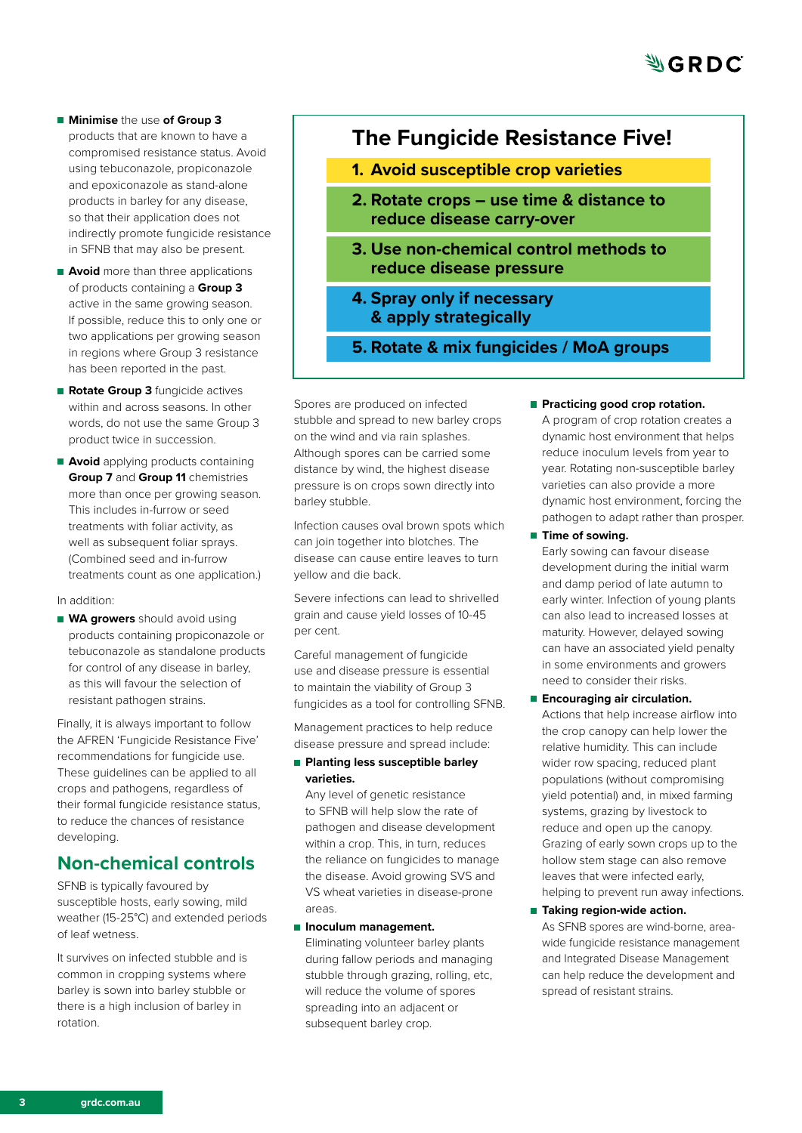- **Minimise** the use **of Group 3**  products that are known to have a compromised resistance status. Avoid using tebuconazole, propiconazole and epoxiconazole as stand-alone products in barley for any disease, so that their application does not indirectly promote fungicide resistance in SFNB that may also be present.
- **Avoid** more than three applications of products containing a **Group 3** active in the same growing season. If possible, reduce this to only one or two applications per growing season in regions where Group 3 resistance has been reported in the past.
- **Rotate Group 3** fungicide actives within and across seasons. In other words, do not use the same Group 3 product twice in succession.
- **Avoid** applying products containing **Group 7** and **Group 11** chemistries more than once per growing season. This includes in-furrow or seed treatments with foliar activity, as well as subsequent foliar sprays. (Combined seed and in-furrow treatments count as one application.)

#### In addition:

**WA growers** should avoid using products containing propiconazole or tebuconazole as standalone products for control of any disease in barley, as this will favour the selection of resistant pathogen strains.

Finally, it is always important to follow the AFREN 'Fungicide Resistance Five' recommendations for fungicide use. These guidelines can be applied to all crops and pathogens, regardless of their formal fungicide resistance status, to reduce the chances of resistance developing.

## **Non-chemical controls**

SFNB is typically favoured by susceptible hosts, early sowing, mild weather (15-25°C) and extended periods of leaf wetness.

It survives on infected stubble and is common in cropping systems where barley is sown into barley stubble or there is a high inclusion of barley in rotation.

## **The Fungicide Resistance Five!**

- **1. Avoid susceptible crop varieties**
- **2. Rotate crops use time & distance to reduce disease carry-over**
- **3. Use non-chemical control methods to reduce disease pressure**
- **4. Spray only if necessary & apply strategically**
- **5. Rotate & mix fungicides / MoA groups**

Spores are produced on infected stubble and spread to new barley crops on the wind and via rain splashes. Although spores can be carried some distance by wind, the highest disease pressure is on crops sown directly into barley stubble.

Infection causes oval brown spots which can join together into blotches. The disease can cause entire leaves to turn yellow and die back.

Severe infections can lead to shrivelled grain and cause yield losses of 10-45 per cent.

Careful management of fungicide use and disease pressure is essential to maintain the viability of Group 3 fungicides as a tool for controlling SFNB.

Management practices to help reduce disease pressure and spread include:

**Planting less susceptible barley varieties.** 

Any level of genetic resistance to SFNB will help slow the rate of pathogen and disease development within a crop. This, in turn, reduces the reliance on fungicides to manage the disease. Avoid growing SVS and VS wheat varieties in disease-prone areas.

#### **Inoculum management.**

Eliminating volunteer barley plants during fallow periods and managing stubble through grazing, rolling, etc, will reduce the volume of spores spreading into an adjacent or subsequent barley crop.

**Practicing good crop rotation.** 

A program of crop rotation creates a dynamic host environment that helps reduce inoculum levels from year to year. Rotating non-susceptible barley varieties can also provide a more dynamic host environment, forcing the pathogen to adapt rather than prosper.

**Time of sowing.** 

Early sowing can favour disease development during the initial warm and damp period of late autumn to early winter. Infection of young plants can also lead to increased losses at maturity. However, delayed sowing can have an associated yield penalty in some environments and growers need to consider their risks.

**Encouraging air circulation.** Actions that help increase airflow into the crop canopy can help lower the relative humidity. This can include wider row spacing, reduced plant populations (without compromising yield potential) and, in mixed farming systems, grazing by livestock to reduce and open up the canopy. Grazing of early sown crops up to the hollow stem stage can also remove leaves that were infected early, helping to prevent run away infections.

■ Taking region-wide action. As SFNB spores are wind-borne, areawide fungicide resistance management and Integrated Disease Management can help reduce the development and spread of resistant strains.